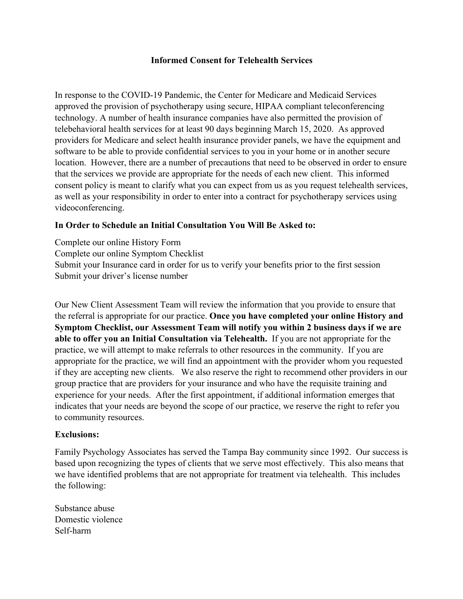## **Informed Consent for Telehealth Services**

In response to the COVID-19 Pandemic, the Center for Medicare and Medicaid Services approved the provision of psychotherapy using secure, HIPAA compliant teleconferencing technology. A number of health insurance companies have also permitted the provision of telebehavioral health services for at least 90 days beginning March 15, 2020. As approved providers for Medicare and select health insurance provider panels, we have the equipment and software to be able to provide confidential services to you in your home or in another secure location. However, there are a number of precautions that need to be observed in order to ensure that the services we provide are appropriate for the needs of each new client. This informed consent policy is meant to clarify what you can expect from us as you request telehealth services, as well as your responsibility in order to enter into a contract for psychotherapy services using videoconferencing.

### **In Order to Schedule an Initial Consultation You Will Be Asked to:**

Complete our online History Form Complete our online Symptom Checklist Submit your Insurance card in order for us to verify your benefits prior to the first session Submit your driver's license number

Our New Client Assessment Team will review the information that you provide to ensure that the referral is appropriate for our practice. **Once you have completed your online History and Symptom Checklist, our Assessment Team will notify you within 2 business days if we are able to offer you an Initial Consultation via Telehealth.** If you are not appropriate for the practice, we will attempt to make referrals to other resources in the community. If you are appropriate for the practice, we will find an appointment with the provider whom you requested if they are accepting new clients. We also reserve the right to recommend other providers in our group practice that are providers for your insurance and who have the requisite training and experience for your needs. After the first appointment, if additional information emerges that indicates that your needs are beyond the scope of our practice, we reserve the right to refer you to community resources.

#### **Exclusions:**

Family Psychology Associates has served the Tampa Bay community since 1992. Our success is based upon recognizing the types of clients that we serve most effectively. This also means that we have identified problems that are not appropriate for treatment via telehealth. This includes the following:

Substance abuse Domestic violence Self-harm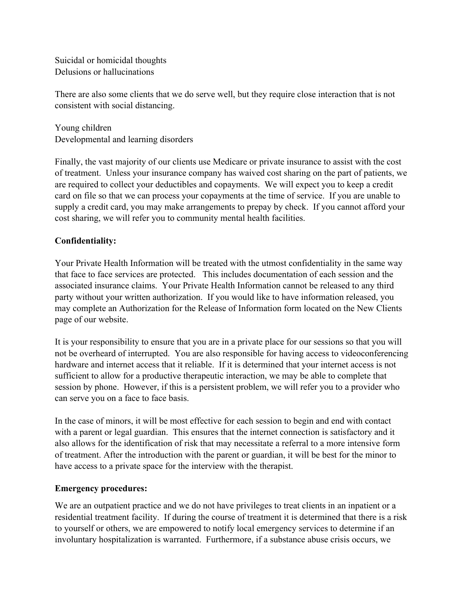Suicidal or homicidal thoughts Delusions or hallucinations

There are also some clients that we do serve well, but they require close interaction that is not consistent with social distancing.

Young children Developmental and learning disorders

Finally, the vast majority of our clients use Medicare or private insurance to assist with the cost of treatment. Unless your insurance company has waived cost sharing on the part of patients, we are required to collect your deductibles and copayments. We will expect you to keep a credit card on file so that we can process your copayments at the time of service. If you are unable to supply a credit card, you may make arrangements to prepay by check. If you cannot afford your cost sharing, we will refer you to community mental health facilities.

# **Confidentiality:**

Your Private Health Information will be treated with the utmost confidentiality in the same way that face to face services are protected. This includes documentation of each session and the associated insurance claims. Your Private Health Information cannot be released to any third party without your written authorization. If you would like to have information released, you may complete an Authorization for the Release of Information form located on the New Clients page of our website.

It is your responsibility to ensure that you are in a private place for our sessions so that you will not be overheard of interrupted. You are also responsible for having access to videoconferencing hardware and internet access that it reliable. If it is determined that your internet access is not sufficient to allow for a productive therapeutic interaction, we may be able to complete that session by phone. However, if this is a persistent problem, we will refer you to a provider who can serve you on a face to face basis.

In the case of minors, it will be most effective for each session to begin and end with contact with a parent or legal guardian. This ensures that the internet connection is satisfactory and it also allows for the identification of risk that may necessitate a referral to a more intensive form of treatment. After the introduction with the parent or guardian, it will be best for the minor to have access to a private space for the interview with the therapist.

## **Emergency procedures:**

We are an outpatient practice and we do not have privileges to treat clients in an inpatient or a residential treatment facility. If during the course of treatment it is determined that there is a risk to yourself or others, we are empowered to notify local emergency services to determine if an involuntary hospitalization is warranted. Furthermore, if a substance abuse crisis occurs, we